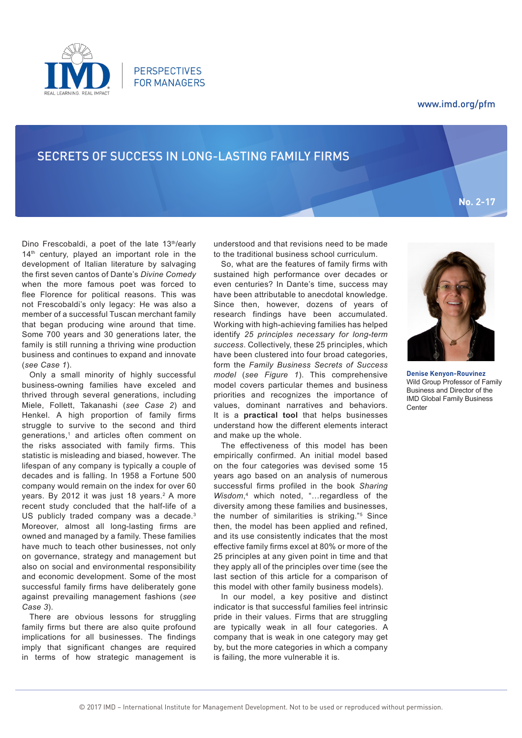

# www.imd.org/pfm

**No. 2-17**

# SECRETS OF SUCCESS IN LONG-LASTING FAMILY FIRMS

**PERSPECTIVES FOR MANAGERS** 

Dino Frescobaldi, a poet of the late 13<sup>th</sup>/early 14<sup>th</sup> century, played an important role in the development of Italian literature by salvaging the first seven cantos of Dante's *Divine Comedy* when the more famous poet was forced to flee Florence for political reasons. This was not Frescobaldi's only legacy: He was also a member of a successful Tuscan merchant family that began producing wine around that time. Some 700 years and 30 generations later, the family is still running a thriving wine production business and continues to expand and innovate (*see Case 1*).

Only a small minority of highly successful business-owning families have exceled and thrived through several generations, including Miele, Follett, Takanashi (*see Case 2*) and Henkel. A high proportion of family firms struggle to survive to the second and third generations,<sup>1</sup> and articles often comment on the risks associated with family firms. This statistic is misleading and biased, however. The lifespan of any company is typically a couple of decades and is falling. In 1958 a Fortune 500 company would remain on the index for over 60 years. By 2012 it was just 18 years.<sup>2</sup> A more recent study concluded that the half-life of a US publicly traded company was a decade.<sup>3</sup> Moreover, almost all long-lasting firms are owned and managed by a family. These families have much to teach other businesses, not only on governance, strategy and management but also on social and environmental responsibility and economic development. Some of the most successful family firms have deliberately gone against prevailing management fashions (*see Case 3*).

There are obvious lessons for struggling family firms but there are also quite profound implications for all businesses. The findings imply that significant changes are required in terms of how strategic management is

understood and that revisions need to be made to the traditional business school curriculum.

So, what are the features of family firms with sustained high performance over decades or even centuries? In Dante's time, success may have been attributable to anecdotal knowledge. Since then, however, dozens of years of research findings have been accumulated. Working with high-achieving families has helped identify *25 principles necessary for long-term success*. Collectively, these 25 principles, which have been clustered into four broad categories, form the *Family Business Secrets of Success model* (*see Figure 1*). This comprehensive model covers particular themes and business priorities and recognizes the importance of values, dominant narratives and behaviors. It is a **practical tool** that helps businesses understand how the different elements interact and make up the whole.

The effectiveness of this model has been empirically confirmed. An initial model based on the four categories was devised some 15 years ago based on an analysis of numerous successful firms profiled in the book *Sharing*  Wisdom,<sup>4</sup> which noted, "... regardless of the diversity among these families and businesses, the number of similarities is striking."5 Since then, the model has been applied and refined, and its use consistently indicates that the most effective family firms excel at 80% or more of the 25 principles at any given point in time and that they apply all of the principles over time (see the last section of this article for a comparison of this model with other family business models).

In our model, a key positive and distinct indicator is that successful families feel intrinsic pride in their values. Firms that are struggling are typically weak in all four categories. A company that is weak in one category may get by, but the more categories in which a company is failing, the more vulnerable it is.



**Denise Kenyon-Rouvinez** Wild Group Professor of Family Business and Director of the IMD Global Family Business Center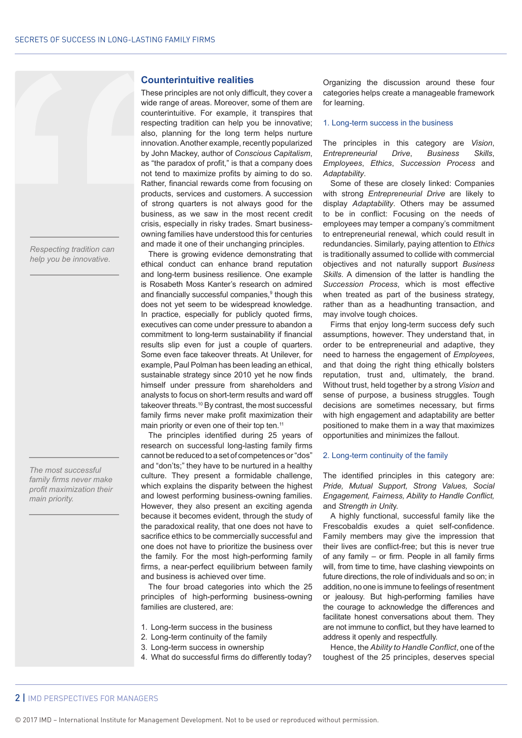*Respecting tradition can help you be innovative.*

*The most successful family firms never make profit maximization their main priority.*

#### **Counterintuitive realities**

These principles are not only difficult, they cover a wide range of areas. Moreover, some of them are counterintuitive. For example, it transpires that respecting tradition can help you be innovative; also, planning for the long term helps nurture innovation. Another example, recently popularized by John Mackey, author of *Conscious Capitalism*, as "the paradox of profit," is that a company does not tend to maximize profits by aiming to do so. Rather, financial rewards come from focusing on products, services and customers. A succession of strong quarters is not always good for the business, as we saw in the most recent credit crisis, especially in risky trades. Smart businessowning families have understood this for centuries and made it one of their unchanging principles.

There is growing evidence demonstrating that ethical conduct can enhance brand reputation and long-term business resilience. One example is Rosabeth Moss Kanter's research on admired and financially successful companies,<sup>9</sup> though this does not yet seem to be widespread knowledge. In practice, especially for publicly quoted firms, executives can come under pressure to abandon a commitment to long-term sustainability if financial results slip even for just a couple of quarters. Some even face takeover threats. At Unilever, for example, Paul Polman has been leading an ethical, sustainable strategy since 2010 yet he now finds himself under pressure from shareholders and analysts to focus on short-term results and ward off takeover threats.10 By contrast, the most successful family firms never make profit maximization their main priority or even one of their top ten.<sup>11</sup>

The principles identified during 25 years of research on successful long-lasting family firms cannot be reduced to a set of competences or "dos" and "don'ts;" they have to be nurtured in a healthy culture. They present a formidable challenge, which explains the disparity between the highest and lowest performing business-owning families. However, they also present an exciting agenda because it becomes evident, through the study of the paradoxical reality, that one does not have to sacrifice ethics to be commercially successful and one does not have to prioritize the business over the family. For the most high-performing family firms, a near-perfect equilibrium between family and business is achieved over time.

The four broad categories into which the 25 principles of high-performing business-owning families are clustered, are:

- 1. Long-term success in the business
- 2. Long-term continuity of the family
- 3. Long-term success in ownership
- 4. What do successful firms do differently today?

Organizing the discussion around these four categories helps create a manageable framework for learning.

#### 1. Long-term success in the business

The principles in this category are *Vision*, *Entrepreneurial Drive*, *Business Skills*, *Employees*, *Ethics*, *Succession Process* and *Adaptability*.

Some of these are closely linked: Companies with strong *Entrepreneurial Drive* are likely to display *Adaptability*. Others may be assumed to be in conflict: Focusing on the needs of employees may temper a company's commitment to entrepreneurial renewal, which could result in redundancies. Similarly, paying attention to *Ethics* is traditionally assumed to collide with commercial objectives and not naturally support *Business Skills*. A dimension of the latter is handling the *Succession Process*, which is most effective when treated as part of the business strategy, rather than as a headhunting transaction, and may involve tough choices.

Firms that enjoy long-term success defy such assumptions, however. They understand that, in order to be entrepreneurial and adaptive, they need to harness the engagement of *Employees*, and that doing the right thing ethically bolsters reputation, trust and, ultimately, the brand. Without trust, held together by a strong *Vision* and sense of purpose, a business struggles. Tough decisions are sometimes necessary, but firms with high engagement and adaptability are better positioned to make them in a way that maximizes opportunities and minimizes the fallout.

#### 2. Long-term continuity of the family

The identified principles in this category are: *Pride, Mutual Support, Strong Values, Social Engagement, Fairness, Ability to Handle Conflict,*  and *Strength in Unit*y.

A highly functional, successful family like the Frescobaldis exudes a quiet self-confidence. Family members may give the impression that their lives are conflict-free; but this is never true of any family – or firm. People in all family firms will, from time to time, have clashing viewpoints on future directions, the role of individuals and so on; in addition, no one is immune to feelings of resentment or jealousy. But high-performing families have the courage to acknowledge the differences and facilitate honest conversations about them. They are not immune to conflict, but they have learned to address it openly and respectfully.

Hence, the *Ability to Handle Conflict*, one of the toughest of the 25 principles, deserves special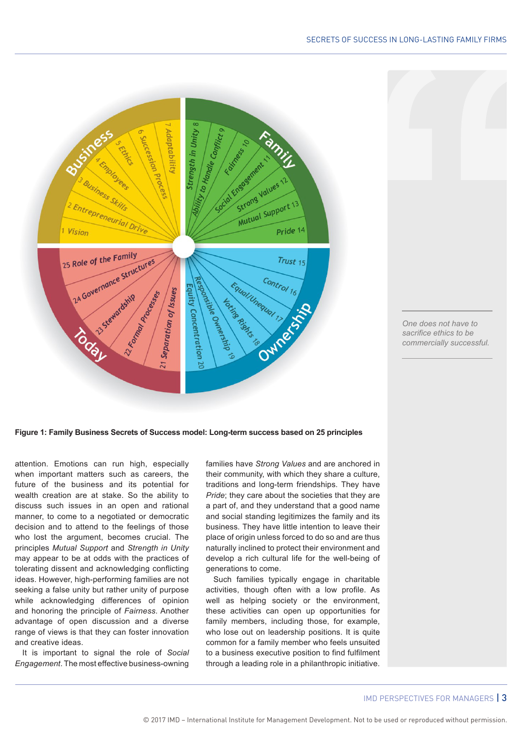## SECRETS OF SUCCESS IN LONG-LASTING FAMILY FIRMS



*One does not have to sacrifice ethics to be commercially successful.*

**Figure 1: Family Business Secrets of Success model: Long-term success based on 25 principles**

attention. Emotions can run high, especially when important matters such as careers, the future of the business and its potential for wealth creation are at stake. So the ability to discuss such issues in an open and rational manner, to come to a negotiated or democratic decision and to attend to the feelings of those who lost the argument, becomes crucial. The principles *Mutual Support* and *Strength in Unity* may appear to be at odds with the practices of tolerating dissent and acknowledging conflicting ideas. However, high-performing families are not seeking a false unity but rather unity of purpose while acknowledging differences of opinion and honoring the principle of *Fairness*. Another advantage of open discussion and a diverse range of views is that they can foster innovation and creative ideas.

It is important to signal the role of *Social Engagement*. The most effective business-owning

families have *Strong Values* and are anchored in their community, with which they share a culture, traditions and long-term friendships. They have *Pride*; they care about the societies that they are a part of, and they understand that a good name and social standing legitimizes the family and its business. They have little intention to leave their place of origin unless forced to do so and are thus naturally inclined to protect their environment and develop a rich cultural life for the well-being of generations to come.

Such families typically engage in charitable activities, though often with a low profile. As well as helping society or the environment, these activities can open up opportunities for family members, including those, for example, who lose out on leadership positions. It is quite common for a family member who feels unsuited to a business executive position to find fulfilment through a leading role in a philanthropic initiative.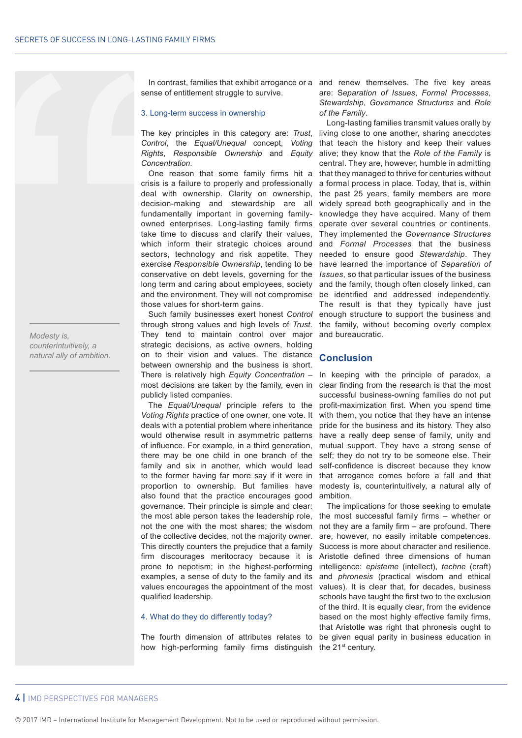*Modesty is, counterintuitively, a natural ally of ambition.* sense of entitlement struggle to survive.

#### 3. Long-term success in ownership

The key principles in this category are: *Trust*, *Control*, the *Equal/Unequal* concept, *Voting Rights*, *Responsible Ownership* and *Equity Concentration*.

One reason that some family firms hit a crisis is a failure to properly and professionally deal with ownership. Clarity on ownership, decision-making and stewardship are all fundamentally important in governing familyowned enterprises. Long-lasting family firms take time to discuss and clarify their values, which inform their strategic choices around sectors, technology and risk appetite. They exercise *Responsible Ownership*, tending to be conservative on debt levels, governing for the *Issues*, so that particular issues of the business long term and caring about employees, society and the environment. They will not compromise those values for short-term gains.

Such family businesses exert honest *Control* through strong values and high levels of *Trust*. They tend to maintain control over major strategic decisions, as active owners, holding on to their vision and values. The distance between ownership and the business is short. There is relatively high *Equity Concentration* – most decisions are taken by the family, even in publicly listed companies.

The *Equal/Unequal* principle refers to the *Voting Rights* practice of one owner, one vote. It deals with a potential problem where inheritance would otherwise result in asymmetric patterns of influence. For example, in a third generation, there may be one child in one branch of the family and six in another, which would lead to the former having far more say if it were in proportion to ownership. But families have also found that the practice encourages good governance. Their principle is simple and clear: the most able person takes the leadership role, not the one with the most shares; the wisdom of the collective decides, not the majority owner. This directly counters the prejudice that a family firm discourages meritocracy because it is prone to nepotism; in the highest-performing examples, a sense of duty to the family and its values encourages the appointment of the most qualified leadership.

#### 4. What do they do differently today?

The fourth dimension of attributes relates to how high-performing family firms distinguish the 21<sup>st</sup> century.

In contrast, families that exhibit arrogance or a and renew themselves. The five key areas are: S*eparation of Issues*, *Formal Processes*, *Stewardship*, *Governance Structures* and *Role of the Family*.

> Long-lasting families transmit values orally by living close to one another, sharing anecdotes that teach the history and keep their values alive; they know that the *Role of the Family* is central. They are, however, humble in admitting that they managed to thrive for centuries without a formal process in place. Today, that is, within the past 25 years, family members are more widely spread both geographically and in the knowledge they have acquired. Many of them operate over several countries or continents. They implemented the *Governance Structures* and *Formal Processes* that the business needed to ensure good *Stewardship*. They have learned the importance of *Separation of*  and the family, though often closely linked, can be identified and addressed independently. The result is that they typically have just enough structure to support the business and the family, without becoming overly complex and bureaucratic.

## **Conclusion**

In keeping with the principle of paradox, a clear finding from the research is that the most successful business-owning families do not put profit-maximization first. When you spend time with them, you notice that they have an intense pride for the business and its history. They also have a really deep sense of family, unity and mutual support. They have a strong sense of self; they do not try to be someone else. Their self-confidence is discreet because they know that arrogance comes before a fall and that modesty is, counterintuitively, a natural ally of ambition.

The implications for those seeking to emulate the most successful family firms – whether or not they are a family firm – are profound. There are, however, no easily imitable competences. Success is more about character and resilience. Aristotle defined three dimensions of human intelligence: *episteme* (intellect), *techne* (craft) and *phronesis* (practical wisdom and ethical values). It is clear that, for decades, business schools have taught the first two to the exclusion of the third. It is equally clear, from the evidence based on the most highly effective family firms, that Aristotle was right that phronesis ought to be given equal parity in business education in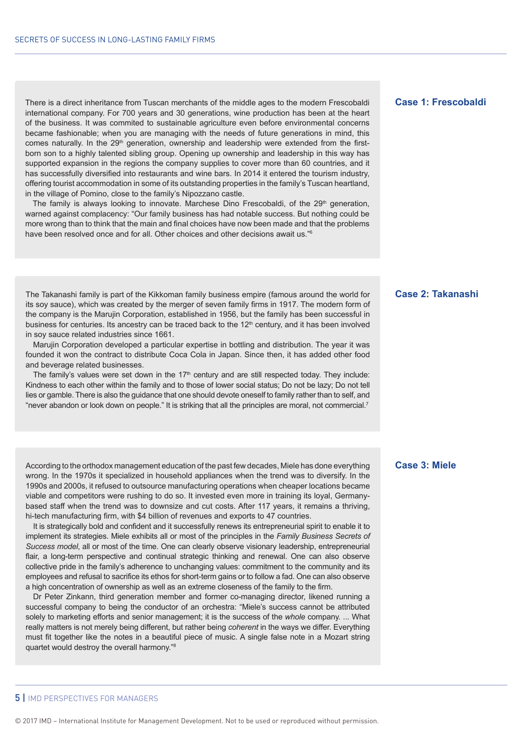There is a direct inheritance from Tuscan merchants of the middle ages to the modern Frescobaldi international company. For 700 years and 30 generations, wine production has been at the heart of the business. It was commited to sustainable agriculture even before environmental concerns became fashionable; when you are managing with the needs of future generations in mind, this comes naturally. In the 29<sup>th</sup> generation, ownership and leadership were extended from the firstborn son to a highly talented sibling group. Opening up ownership and leadership in this way has supported expansion in the regions the company supplies to cover more than 60 countries, and it has successfully diversified into restaurants and wine bars. In 2014 it entered the tourism industry, offering tourist accommodation in some of its outstanding properties in the family's Tuscan heartland, in the village of Pomino, close to the family's Nipozzano castle.

The family is always looking to innovate. Marchese Dino Frescobaldi, of the  $29<sup>th</sup>$  generation, warned against complacency: "Our family business has had notable success. But nothing could be more wrong than to think that the main and final choices have now been made and that the problems have been resolved once and for all. Other choices and other decisions await us.<sup>"6</sup>

The Takanashi family is part of the Kikkoman family business empire (famous around the world for its soy sauce), which was created by the merger of seven family firms in 1917. The modern form of the company is the Marujin Corporation, established in 1956, but the family has been successful in business for centuries. Its ancestry can be traced back to the 12<sup>th</sup> century, and it has been involved in soy sauce related industries since 1661.

Marujin Corporation developed a particular expertise in bottling and distribution. The year it was founded it won the contract to distribute Coca Cola in Japan. Since then, it has added other food and beverage related businesses.

The family's values were set down in the  $17<sup>th</sup>$  century and are still respected today. They include: Kindness to each other within the family and to those of lower social status; Do not be lazy; Do not tell lies or gamble. There is also the guidance that one should devote oneself to family rather than to self, and "never abandon or look down on people." It is striking that all the principles are moral, not commercial.7

According to the orthodox management education of the past few decades, Miele has done everything wrong. In the 1970s it specialized in household appliances when the trend was to diversify. In the 1990s and 2000s, it refused to outsource manufacturing operations when cheaper locations became viable and competitors were rushing to do so. It invested even more in training its loyal, Germanybased staff when the trend was to downsize and cut costs. After 117 years, it remains a thriving, hi-tech manufacturing firm, with \$4 billion of revenues and exports to 47 countries.

It is strategically bold and confident and it successfully renews its entrepreneurial spirit to enable it to implement its strategies. Miele exhibits all or most of the principles in the *Family Business Secrets of Success model*, all or most of the time. One can clearly observe visionary leadership, entrepreneurial flair, a long-term perspective and continual strategic thinking and renewal. One can also observe collective pride in the family's adherence to unchanging values: commitment to the community and its employees and refusal to sacrifice its ethos for short-term gains or to follow a fad. One can also observe a high concentration of ownership as well as an extreme closeness of the family to the firm.

Dr Peter Zinkann, third generation member and former co-managing director, likened running a successful company to being the conductor of an orchestra: "Miele's success cannot be attributed solely to marketing efforts and senior management; it is the success of the *whole* company. ... What really matters is not merely being different, but rather being *coherent* in the ways we differ. Everything must fit together like the notes in a beautiful piece of music. A single false note in a Mozart string quartet would destroy the overall harmony."8

# **Case 1: Frescobaldi**

# **Case 2: Takanashi**

## **Case 3: Miele**